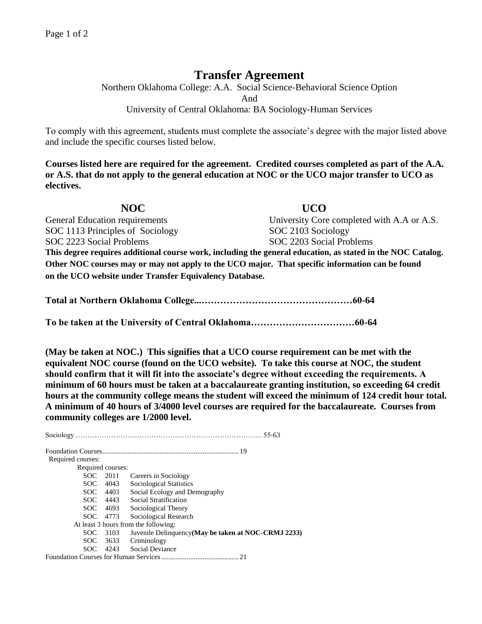## **Transfer Agreement**

Northern Oklahoma College: A.A. Social Science-Behavioral Science Option And University of Central Oklahoma: BA Sociology-Human Services

To comply with this agreement, students must complete the associate's degree with the major listed above and include the specific courses listed below.

**Courses listed here are required for the agreement. Credited courses completed as part of the A.A. or A.S. that do not apply to the general education at NOC or the UCO major transfer to UCO as electives.**

**NOC UCO**  General Education requirements University Core completed with A.A or A.S. SOC 1113 Principles of Sociology SOC 2103 Sociology SOC 2223 Social Problems SOC 2203 Social Problems **This degree requires additional course work, including the general education, as stated in the NOC Catalog. Other NOC courses may or may not apply to the UCO major. That specific information can be found on the UCO website under Transfer Equivalency Database.**

**Total at Northern Oklahoma College...…………………………………………60-64**

**To be taken at the University of Central Oklahoma……………………………60-64**

**(May be taken at NOC.) This signifies that a UCO course requirement can be met with the equivalent NOC course (found on the UCO website). To take this course at NOC, the student should confirm that it will fit into the associate's degree without exceeding the requirements. A minimum of 60 hours must be taken at a baccalaureate granting institution, so exceeding 64 credit hours at the community college means the student will exceed the minimum of 124 credit hour total. A minimum of 40 hours of 3/4000 level courses are required for the baccalaureate. Courses from community colleges are 1/2000 level.**

Sociology ……………………………………………………………………. 55-63 Foundation Courses............................................................................ 19 Required courses: Required courses: SOC 2011 Careers in Sociology SOC 4043 Sociological Statistics SOC 4403 Social Ecology and Demography SOC 4443 Social Stratification SOC 4693 Sociological Theory SOC 4773 Sociological Research At least 3 hours from the following: SOC 3103 Juvenile Delinquency**(May be taken at NOC-CRMJ 2233)** SOC 3633 Criminology SOC 4243 Social Deviance Foundation Courses for Human Services........................................... 21